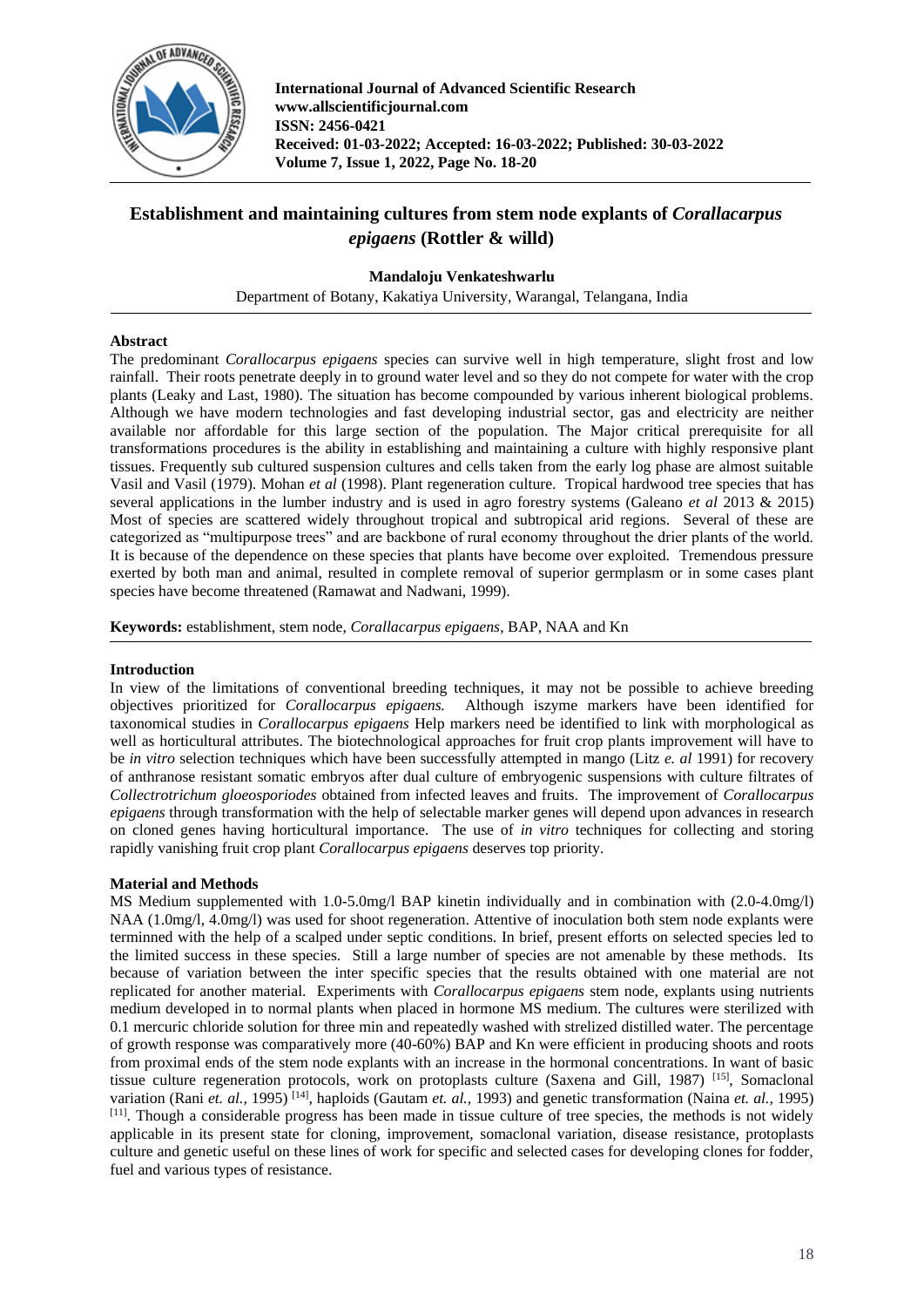

**International Journal of Advanced Scientific Research www.allscientificjournal.com ISSN: 2456-0421 Received: 01-03-2022; Accepted: 16-03-2022; Published: 30-03-2022 Volume 7, Issue 1, 2022, Page No. 18-20**

# **Establishment and maintaining cultures from stem node explants of** *Corallacarpus epigaens* **(Rottler & willd)**

## **Mandaloju Venkateshwarlu**

Department of Botany, Kakatiya University, Warangal, Telangana, India

## **Abstract**

The predominant *Corallocarpus epigaens* species can survive well in high temperature, slight frost and low rainfall. Their roots penetrate deeply in to ground water level and so they do not compete for water with the crop plants (Leaky and Last, 1980). The situation has become compounded by various inherent biological problems. Although we have modern technologies and fast developing industrial sector, gas and electricity are neither available nor affordable for this large section of the population. The Major critical prerequisite for all transformations procedures is the ability in establishing and maintaining a culture with highly responsive plant tissues. Frequently sub cultured suspension cultures and cells taken from the early log phase are almost suitable Vasil and Vasil (1979). Mohan *et al* (1998). Plant regeneration culture. Tropical hardwood tree species that has several applications in the lumber industry and is used in agro forestry systems (Galeano *et al* 2013 & 2015) Most of species are scattered widely throughout tropical and subtropical arid regions. Several of these are categorized as "multipurpose trees" and are backbone of rural economy throughout the drier plants of the world. It is because of the dependence on these species that plants have become over exploited. Tremendous pressure exerted by both man and animal, resulted in complete removal of superior germplasm or in some cases plant species have become threatened (Ramawat and Nadwani, 1999).

**Keywords:** establishment, stem node, *Corallacarpus epigaens*, BAP, NAA and Kn

## **Introduction**

In view of the limitations of conventional breeding techniques, it may not be possible to achieve breeding objectives prioritized for *Corallocarpus epigaens.* Although iszyme markers have been identified for taxonomical studies in *Corallocarpus epigaens* Help markers need be identified to link with morphological as well as horticultural attributes. The biotechnological approaches for fruit crop plants improvement will have to be *in vitro* selection techniques which have been successfully attempted in mango (Litz *e. al* 1991) for recovery of anthranose resistant somatic embryos after dual culture of embryogenic suspensions with culture filtrates of *Collectrotrichum gloeosporiodes* obtained from infected leaves and fruits. The improvement of *Corallocarpus epigaens* through transformation with the help of selectable marker genes will depend upon advances in research on cloned genes having horticultural importance. The use of *in vitro* techniques for collecting and storing rapidly vanishing fruit crop plant *Corallocarpus epigaens* deserves top priority.

## **Material and Methods**

MS Medium supplemented with 1.0-5.0mg/l BAP kinetin individually and in combination with (2.0-4.0mg/l) NAA (1.0mg/l, 4.0mg/l) was used for shoot regeneration. Attentive of inoculation both stem node explants were terminned with the help of a scalped under septic conditions. In brief, present efforts on selected species led to the limited success in these species. Still a large number of species are not amenable by these methods. Its because of variation between the inter specific species that the results obtained with one material are not replicated for another material. Experiments with *Corallocarpus epigaens* stem node, explants using nutrients medium developed in to normal plants when placed in hormone MS medium. The cultures were sterilized with 0.1 mercuric chloride solution for three min and repeatedly washed with strelized distilled water. The percentage of growth response was comparatively more (40-60%) BAP and Kn were efficient in producing shoots and roots from proximal ends of the stem node explants with an increase in the hormonal concentrations. In want of basic tissue culture regeneration protocols, work on protoplasts culture (Saxena and Gill, 1987) [15], Somaclonal variation (Rani *et. al.,* 1995) [14] , haploids (Gautam *et. al.,* 1993) and genetic transformation (Naina *et. al.,* 1995)  $[11]$ . Though a considerable progress has been made in tissue culture of tree species, the methods is not widely applicable in its present state for cloning, improvement, somaclonal variation, disease resistance, protoplasts culture and genetic useful on these lines of work for specific and selected cases for developing clones for fodder, fuel and various types of resistance.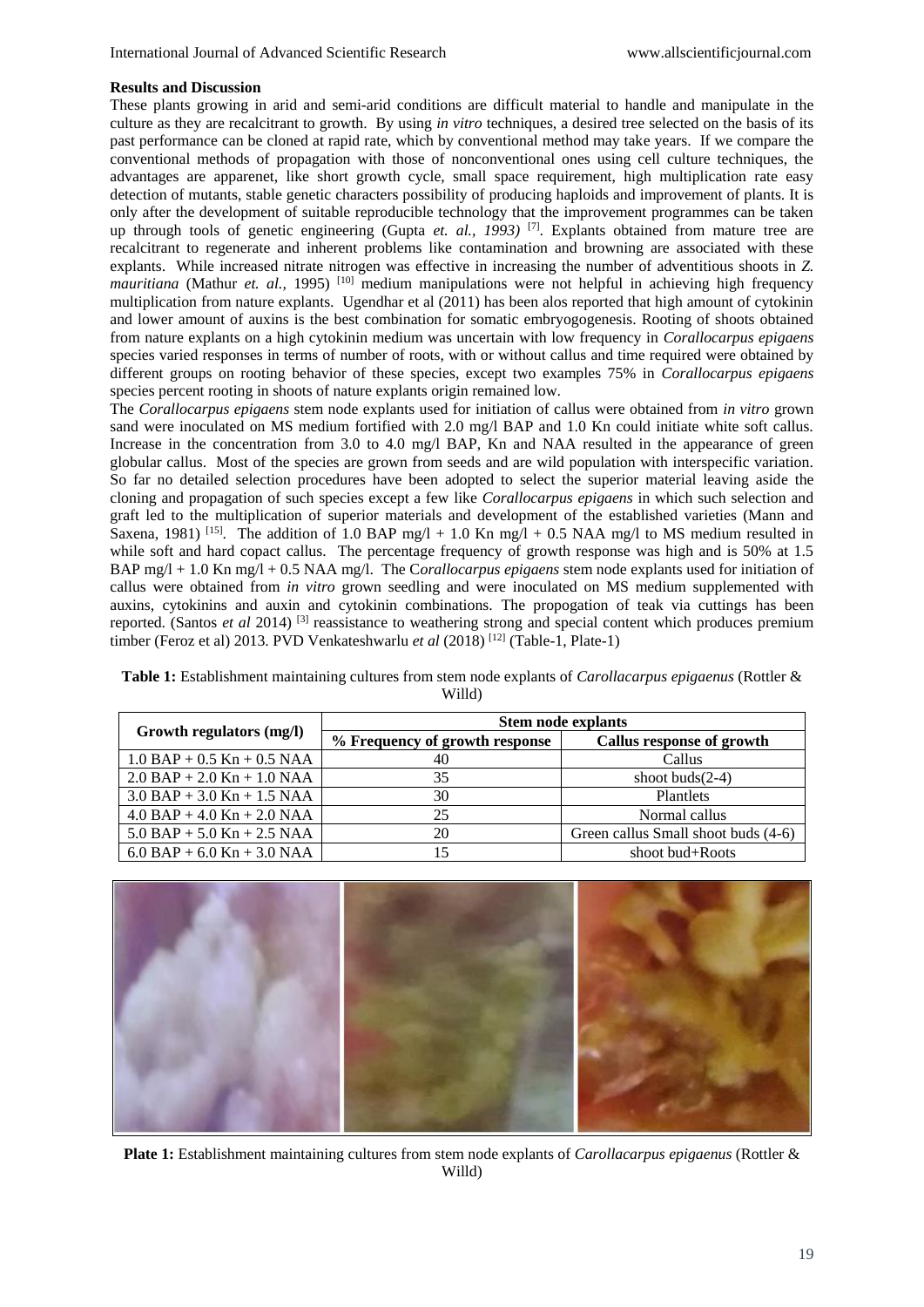#### **Results and Discussion**

These plants growing in arid and semi-arid conditions are difficult material to handle and manipulate in the culture as they are recalcitrant to growth. By using *in vitro* techniques, a desired tree selected on the basis of its past performance can be cloned at rapid rate, which by conventional method may take years. If we compare the conventional methods of propagation with those of nonconventional ones using cell culture techniques, the advantages are apparenet, like short growth cycle, small space requirement, high multiplication rate easy detection of mutants, stable genetic characters possibility of producing haploids and improvement of plants. It is only after the development of suitable reproducible technology that the improvement programmes can be taken up through tools of genetic engineering (Gupta *et. al., 1993)* [7] . Explants obtained from mature tree are recalcitrant to regenerate and inherent problems like contamination and browning are associated with these explants. While increased nitrate nitrogen was effective in increasing the number of adventitious shoots in *Z. mauritiana* (Mathur *et. al.,* 1995) <sup>[10]</sup> medium manipulations were not helpful in achieving high frequency multiplication from nature explants. Ugendhar et al (2011) has been alos reported that high amount of cytokinin and lower amount of auxins is the best combination for somatic embryogogenesis. Rooting of shoots obtained from nature explants on a high cytokinin medium was uncertain with low frequency in *Corallocarpus epigaens* species varied responses in terms of number of roots, with or without callus and time required were obtained by different groups on rooting behavior of these species, except two examples 75% in *Corallocarpus epigaens* species percent rooting in shoots of nature explants origin remained low.

The *Corallocarpus epigaens* stem node explants used for initiation of callus were obtained from *in vitro* grown sand were inoculated on MS medium fortified with 2.0 mg/l BAP and 1.0 Kn could initiate white soft callus. Increase in the concentration from 3.0 to 4.0 mg/l BAP, Kn and NAA resulted in the appearance of green globular callus. Most of the species are grown from seeds and are wild population with interspecific variation. So far no detailed selection procedures have been adopted to select the superior material leaving aside the cloning and propagation of such species except a few like *Corallocarpus epigaens* in which such selection and graft led to the multiplication of superior materials and development of the established varieties (Mann and Saxena, 1981)<sup>[15]</sup>. The addition of 1.0 BAP mg/l + 1.0 Kn mg/l + 0.5 NAA mg/l to MS medium resulted in while soft and hard copact callus. The percentage frequency of growth response was high and is 50% at 1.5 BAP mg/l + 1.0 Kn mg/l + 0.5 NAA mg/l. The C*orallocarpus epigaens* stem node explants used for initiation of callus were obtained from *in vitro* grown seedling and were inoculated on MS medium supplemented with auxins, cytokinins and auxin and cytokinin combinations. The propogation of teak via cuttings has been reported. (Santos *et al* 2014) [3] reassistance to weathering strong and special content which produces premium timber (Feroz et al) 2013. PVD Venkateshwarlu et al (2018)<sup>[12]</sup> (Table-1, Plate-1)

**Table 1:** Establishment maintaining cultures from stem node explants of *Carollacarpus epigaenus* (Rottler & Willd)

| Growth regulators (mg/l)         | <b>Stem node explants</b>      |                                     |
|----------------------------------|--------------------------------|-------------------------------------|
|                                  | % Frequency of growth response | Callus response of growth           |
| $1.0$ BAP + 0.5 Kn + 0.5 NAA     | 40                             | Callus                              |
| $2.0$ BAP + $2.0$ Kn + $1.0$ NAA | 35                             | shoot buds $(2-4)$                  |
| $3.0$ BAP + $3.0$ Kn + $1.5$ NAA | 30                             | Plantlets                           |
| $4.0$ BAP + $4.0$ Kn + $2.0$ NAA | 25                             | Normal callus                       |
| $5.0$ BAP + $5.0$ Kn + $2.5$ NAA | 20                             | Green callus Small shoot buds (4-6) |
| $6.0$ BAP + $6.0$ Kn + $3.0$ NAA |                                | shoot bud+Roots                     |



**Plate 1:** Establishment maintaining cultures from stem node explants of *Carollacarpus epigaenus* (Rottler & Willd)